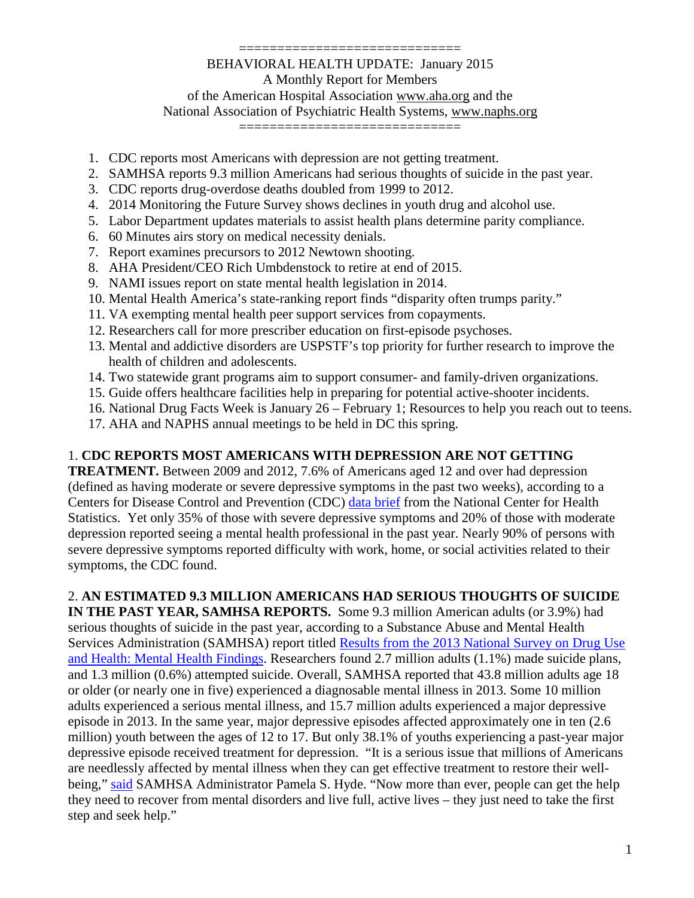#### =================================

# BEHAVIORAL HEALTH UPDATE: January 2015 A Monthly Report for Members of the American Hospital Association [www.aha.org](http://www.aha.org/) and the National Association of Psychiatric Health Systems, [www.naphs.org](http://www.naphs.org/)

=================================

- 1. CDC reports most Americans with depression are not getting treatment.
- 2. SAMHSA reports 9.3 million Americans had serious thoughts of suicide in the past year.
- 3. CDC reports drug-overdose deaths doubled from 1999 to 2012.
- 4. 2014 Monitoring the Future Survey shows declines in youth drug and alcohol use.
- 5. Labor Department updates materials to assist health plans determine parity compliance.
- 6. 60 Minutes airs story on medical necessity denials.
- 7. Report examines precursors to 2012 Newtown shooting.
- 8. AHA President/CEO Rich Umbdenstock to retire at end of 2015.
- 9. NAMI issues report on state mental health legislation in 2014.
- 10. Mental Health America's state-ranking report finds "disparity often trumps parity."
- 11. VA exempting mental health peer support services from copayments.
- 12. Researchers call for more prescriber education on first-episode psychoses.
- 13. Mental and addictive disorders are USPSTF's top priority for further research to improve the health of children and adolescents.
- 14. Two statewide grant programs aim to support consumer- and family-driven organizations.
- 15. Guide offers healthcare facilities help in preparing for potential active-shooter incidents.
- 16. National Drug Facts Week is January 26 February 1; Resources to help you reach out to teens.
- 17. AHA and NAPHS annual meetings to be held in DC this spring.

### 1. **CDC REPORTS MOST AMERICANS WITH DEPRESSION ARE NOT GETTING**

**TREATMENT.** Between 2009 and 2012, 7.6% of Americans aged 12 and over had depression (defined as having moderate or severe depressive symptoms in the past two weeks), according to a Centers for Disease Control and Prevention (CDC) [data brief](http://www.cdc.gov/nchs/data/databriefs/db172.pdf) from the National Center for Health Statistics. Yet only 35% of those with severe depressive symptoms and 20% of those with moderate depression reported seeing a mental health professional in the past year. Nearly 90% of persons with severe depressive symptoms reported difficulty with work, home, or social activities related to their symptoms, the CDC found.

### 2. **AN ESTIMATED 9.3 MILLION AMERICANS HAD SERIOUS THOUGHTS OF SUICIDE**

**IN THE PAST YEAR, SAMHSA REPORTS.** Some 9.3 million American adults (or 3.9%) had serious thoughts of suicide in the past year, according to a Substance Abuse and Mental Health Services Administration (SAMHSA) report titled [Results from the 2013 National Survey on Drug Use](http://www.samhsa.gov/data/sites/default/files/NSDUHmhfr2013/NSDUHmhfr2013.pdf)  [and Health: Mental Health Findings.](http://www.samhsa.gov/data/sites/default/files/NSDUHmhfr2013/NSDUHmhfr2013.pdf) Researchers found 2.7 million adults (1.1%) made suicide plans, and 1.3 million (0.6%) attempted suicide. Overall, SAMHSA reported that 43.8 million adults age 18 or older (or nearly one in five) experienced a diagnosable mental illness in 2013. Some 10 million adults experienced a serious mental illness, and 15.7 million adults experienced a major depressive episode in 2013. In the same year, major depressive episodes affected approximately one in ten (2.6 million) youth between the ages of 12 to 17. But only 38.1% of youths experiencing a past-year major depressive episode received treatment for depression. "It is a serious issue that millions of Americans are needlessly affected by mental illness when they can get effective treatment to restore their wellbeing," [said](http://www.samhsa.gov/newsroom/press-announcements/201411200815) SAMHSA Administrator Pamela S. Hyde. "Now more than ever, people can get the help they need to recover from mental disorders and live full, active lives – they just need to take the first step and seek help."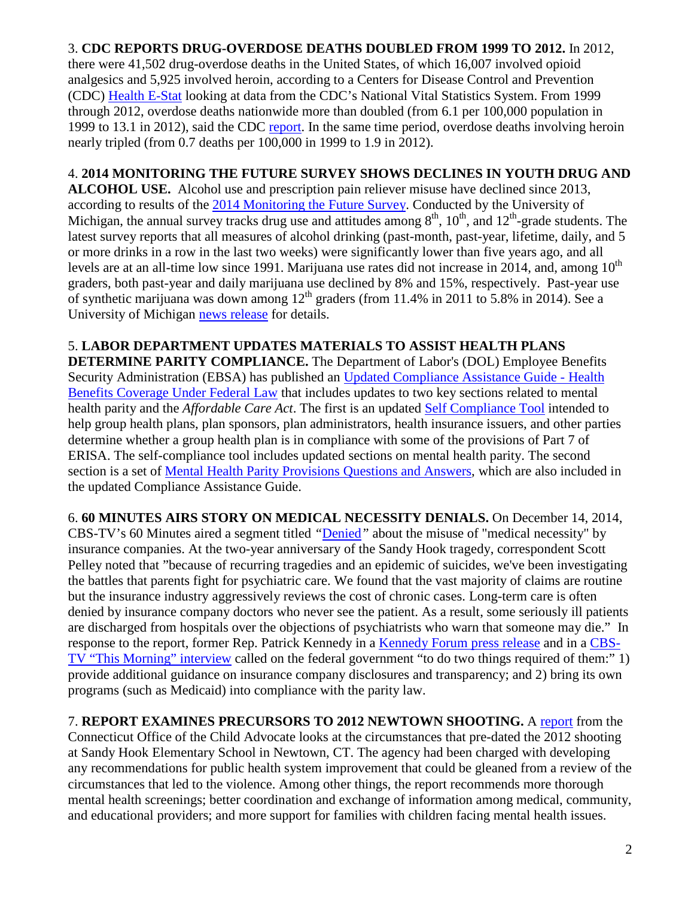# 3. **CDC REPORTS DRUG-OVERDOSE DEATHS DOUBLED FROM 1999 TO 2012.** In 2012,

there were 41,502 drug-overdose deaths in the United States, of which 16,007 involved opioid analgesics and 5,925 involved heroin, according to a Centers for Disease Control and Prevention (CDC) [Health E-Stat](http://www.cdc.gov/nchs/data/hestat/drug_poisoning/drug_poisoning.htm) looking at data from the CDC's National Vital Statistics System. From 1999 through 2012, overdose deaths nationwide more than doubled (from 6.1 per 100,000 population in 1999 to 13.1 in 2012), said the CDC [report.](http://www.cdc.gov/nchs/data/hestat/drug_poisoning/drug_poisoning_deaths_1999-2012.pdf) In the same time period, overdose deaths involving heroin nearly tripled (from 0.7 deaths per 100,000 in 1999 to 1.9 in 2012).

#### 4. **2014 MONITORING THE FUTURE SURVEY SHOWS DECLINES IN YOUTH DRUG AND**

**ALCOHOL USE.** Alcohol use and prescription pain reliever misuse have declined since 2013, according to results of the [2014 Monitoring the Future Survey.](http://www.drugabuse.gov/related-topics/trends-statistics/monitoring-future) Conducted by the University of Michigan, the annual survey tracks drug use and attitudes among  $8<sup>th</sup>$ ,  $10<sup>th</sup>$ , and  $12<sup>th</sup>$ -grade students. The latest survey reports that all measures of alcohol drinking (past-month, past-year, lifetime, daily, and 5 or more drinks in a row in the last two weeks) were significantly lower than five years ago, and all levels are at an all-time low since 1991. Marijuana use rates did not increase in 2014, and, among  $10<sup>th</sup>$ graders, both past-year and daily marijuana use declined by 8% and 15%, respectively. Past-year use of synthetic marijuana was down among  $12<sup>th</sup>$  graders (from 11.4% in 2011 to 5.8% in 2014). See a University of Michigan [news release](http://monitoringthefuture.org/) for details.

5. **LABOR DEPARTMENT UPDATES MATERIALS TO ASSIST HEALTH PLANS DETERMINE PARITY COMPLIANCE.** The Department of Labor's (DOL) Employee Benefits Security Administration (EBSA) has published an [Updated Compliance Assistance Guide -](http://www.dol.gov/ebsa/publications/CAG.html) Health [Benefits Coverage Under Federal Law](http://www.dol.gov/ebsa/publications/CAG.html) that includes updates to two key sections related to mental health parity and the *Affordable Care Act*. The first is an updated [Self Compliance Tool](http://www.dol.gov/ebsa/pdf/cagappa.pdf) intended to help group health plans, plan sponsors, plan administrators, health insurance issuers, and other parties determine whether a group health plan is in compliance with some of the provisions of Part 7 of ERISA. The self-compliance tool includes updated sections on mental health parity. The second section is a set of [Mental Health Parity Provisions Questions and Answers,](http://www.dol.gov/ebsa/pdf/cagmhpaea.pdf) which are also included in the updated Compliance Assistance Guide.

6. **60 MINUTES AIRS STORY ON MEDICAL NECESSITY DENIALS.** On December 14, 2014, CBS-TV's 60 Minutes aired a segment titled *"*[Denied](http://www.cbsnews.com/news/mental-illness-health-care-insurance-60-minutes/)*"* about the misuse of "medical necessity" by insurance companies. At the two-year anniversary of the Sandy Hook tragedy, correspondent Scott Pelley noted that "because of recurring tragedies and an epidemic of suicides, we've been investigating the battles that parents fight for psychiatric care. We found that the vast majority of claims are routine but the insurance industry aggressively reviews the cost of chronic cases. Long-term care is often denied by insurance company doctors who never see the patient. As a result, some seriously ill patients are discharged from hospitals over the objections of psychiatrists who warn that someone may die." In response to the report, former Rep. Patrick Kennedy in a [Kennedy Forum press release](https://www.thekennedyforum.org/news/patrick-kennedy-responds-to-60-minutes-segment-on-mental-health?utm_source=The+Kennedy+Forum&utm_campaign=e504a453e9-60_Minutes_Response_12_15_2014&utm_medium=email&utm_term=0_cc0d617cac-e504a453e9-6701273) and in a [CBS-](http://www.cbsnews.com/videos/battle-for-mental-health-treatment-coverage/)[TV "This Morning" interview](http://www.cbsnews.com/videos/battle-for-mental-health-treatment-coverage/) called on the federal government "to do two things required of them:" 1) provide additional guidance on insurance company disclosures and transparency; and 2) bring its own programs (such as Medicaid) into compliance with the parity law.

7. **REPORT EXAMINES PRECURSORS TO 2012 NEWTOWN SHOOTING.** A [report](http://www.ct.gov/oca/lib/oca/sandyhook11212014.pdf) from the Connecticut Office of the Child Advocate looks at the circumstances that pre-dated the 2012 shooting at Sandy Hook Elementary School in Newtown, CT. The agency had been charged with developing any recommendations for public health system improvement that could be gleaned from a review of the circumstances that led to the violence. Among other things, the report recommends more thorough mental health screenings; better coordination and exchange of information among medical, community, and educational providers; and more support for families with children facing mental health issues.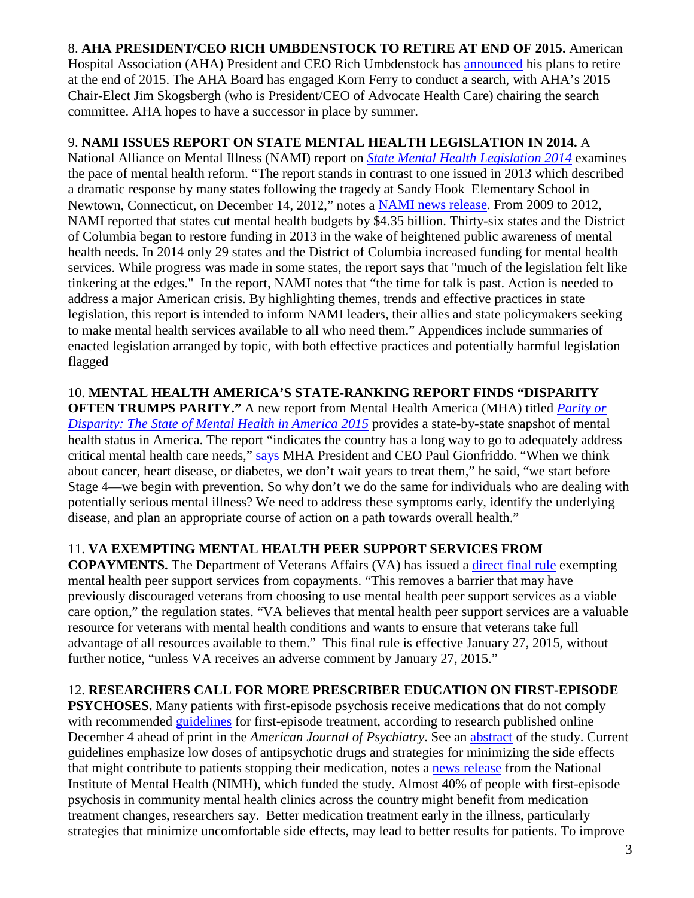8. **AHA PRESIDENT/CEO RICH UMBDENSTOCK TO RETIRE AT END OF 2015.** American Hospital Association (AHA) President and CEO Rich Umbdenstock has [announced](http://www.ahanews.com/ahanews/jsp/display.jsp?dcrpath=AHANEWS/AHANewsNowArticle/data/ann_112114_AHA&domain=AHANEWS) his plans to retire at the end of 2015. The AHA Board has engaged Korn Ferry to conduct a search, with AHA's 2015 Chair-Elect Jim Skogsbergh (who is President/CEO of Advocate Health Care) chairing the search committee. AHA hopes to have a successor in place by summer.

# 9. **NAMI ISSUES REPORT ON STATE MENTAL HEALTH LEGISLATION IN 2014.** A

National Alliance on Mental Illness (NAMI) report on *[State Mental Health Legislation 2014](http://www.nami.org/Template.cfm?Section=Policy_Reports&Template=/ContentManagement/ContentDisplay.cfm&ContentID=172851)* examines the pace of mental health reform. "The report stands in contrast to one issued in 2013 which described a dramatic response by many states following the tragedy at Sandy Hook Elementary School in Newtown, Connecticut, on December 14, 2012," notes a [NAMI news release.](http://www.nami.org/Template.cfm?Section=press_room&template=/ContentManagement/ContentDisplay.cfm&ContentID=172855) From 2009 to 2012, NAMI reported that states cut mental health budgets by \$4.35 billion. Thirty-six states and the District of Columbia began to restore funding in 2013 in the wake of heightened public awareness of mental health needs. In 2014 only 29 states and the District of Columbia increased funding for mental health services. While progress was made in some states, the report says that "much of the legislation felt like tinkering at the edges." In the report, NAMI notes that "the time for talk is past. Action is needed to address a major American crisis. By highlighting themes, trends and effective practices in state legislation, this report is intended to inform NAMI leaders, their allies and state policymakers seeking to make mental health services available to all who need them." Appendices include summaries of enacted legislation arranged by topic, with both effective practices and potentially harmful legislation flagged

# 10. **MENTAL HEALTH AMERICA'S STATE-RANKING REPORT FINDS "DISPARITY**

**OFTEN TRUMPS PARITY."** A new report from Mental Health America (MHA) titled *[Parity or](http://www.mentalhealthamerica.net/sites/default/files/Parity%20or%20Disparity%202015%20Report.pdf)  [Disparity: The State of Mental Health in America 2015](http://www.mentalhealthamerica.net/sites/default/files/Parity%20or%20Disparity%202015%20Report.pdf)* provides a state-by-state snapshot of mental health status in America. The report "indicates the country has a long way to go to adequately address critical mental health care needs," [says](http://www.mentalhealthamerica.net/new-report-ranks-states%E2%80%99-mental-health-status-and-access-care) MHA President and CEO Paul Gionfriddo. "When we think about cancer, heart disease, or diabetes, we don't wait years to treat them," he said, "we start before Stage 4—we begin with prevention. So why don't we do the same for individuals who are dealing with potentially serious mental illness? We need to address these symptoms early, identify the underlying disease, and plan an appropriate course of action on a path towards overall health."

# 11. **VA EXEMPTING MENTAL HEALTH PEER SUPPORT SERVICES FROM**

**COPAYMENTS.** The Department of Veterans Affairs (VA) has issued a [direct final rule](http://www.gpo.gov/fdsys/pkg/FR-2014-11-28/pdf/2014-27231.pdf) exempting mental health peer support services from copayments. "This removes a barrier that may have previously discouraged veterans from choosing to use mental health peer support services as a viable care option," the regulation states. "VA believes that mental health peer support services are a valuable resource for veterans with mental health conditions and wants to ensure that veterans take full advantage of all resources available to them." This final rule is effective January 27, 2015, without further notice, "unless VA receives an adverse comment by January 27, 2015."

### 12. **RESEARCHERS CALL FOR MORE PRESCRIBER EDUCATION ON FIRST-EPISODE**

**PSYCHOSES.** Many patients with first-episode psychosis receive medications that do not comply with recommended [guidelines](http://schizophreniabulletin.oxfordjournals.org/content/36/1/71.full?sid=633e2b43-baa5-49c3-82ab-0ed8c81fea70) for first-episode treatment, according to research published online December 4 ahead of print in the *American Journal of Psychiatry*. See an [abstract](http://ajp.psychiatryonline.org/doi/full/10.1176/appi.ajp.2014.13101355) of the study. Current guidelines emphasize low doses of antipsychotic drugs and strategies for minimizing the side effects that might contribute to patients stopping their medication, notes a [news release](http://www.nimh.nih.gov/news/science-news/2014/medications-for-patients-with-first-episode-psychosis-may-not-meet-guidelines.shtml?utm_source=govdelivery&utm_medium=email&utm_campaign=govdelivery) from the National Institute of Mental Health (NIMH), which funded the study. Almost 40% of people with first-episode psychosis in community mental health clinics across the country might benefit from medication treatment changes, researchers say. Better medication treatment early in the illness, particularly strategies that minimize uncomfortable side effects, may lead to better results for patients. To improve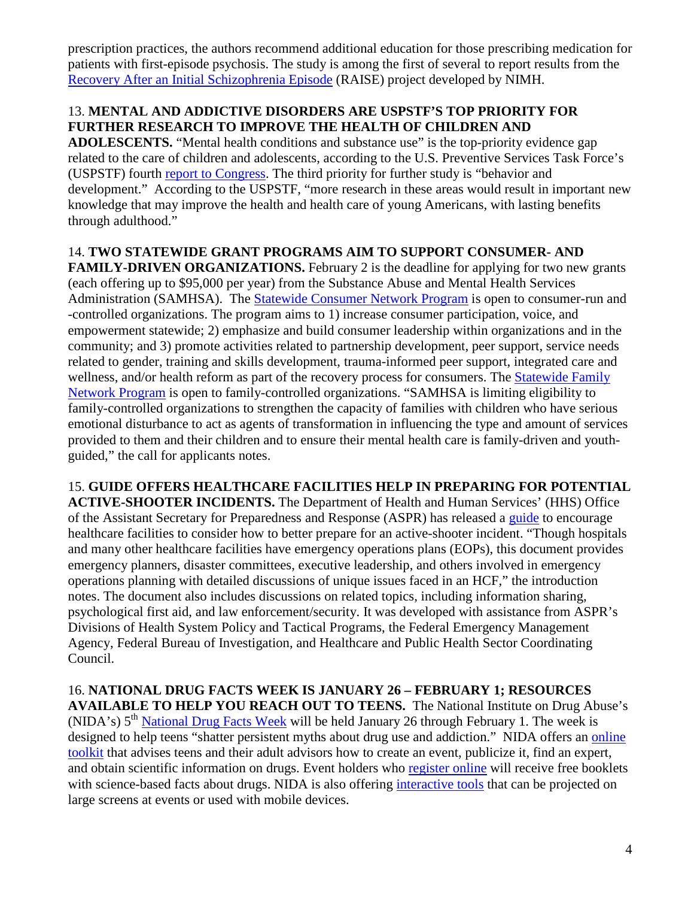prescription practices, the authors recommend additional education for those prescribing medication for patients with first-episode psychosis. The study is among the first of several to report results from the [Recovery After an Initial Schizophrenia Episode](http://www.nimh.nih.gov/health/topics/schizophrenia/raise/index.shtml) (RAISE) project developed by NIMH.

# 13. **MENTAL AND ADDICTIVE DISORDERS ARE USPSTF'S TOP PRIORITY FOR FURTHER RESEARCH TO IMPROVE THE HEALTH OF CHILDREN AND**

**ADOLESCENTS.** "Mental health conditions and substance use" is the top-priority evidence gap related to the care of children and adolescents, according to the U.S. Preventive Services Task Force's (USPSTF) fourth [report to Congress.](http://www.uspreventiveservicestaskforce.org/Page/Name/fourth-annual-report-to-congress-on-high-priority-evidence-gaps-for-clinical-preventive-services) The third priority for further study is "behavior and development." According to the USPSTF, "more research in these areas would result in important new knowledge that may improve the health and health care of young Americans, with lasting benefits through adulthood."

# 14. **TWO STATEWIDE GRANT PROGRAMS AIM TO SUPPORT CONSUMER- AND**

**FAMILY-DRIVEN ORGANIZATIONS.** February 2 is the deadline for applying for two new grants (each offering up to \$95,000 per year) from the Substance Abuse and Mental Health Services Administration (SAMHSA). The [Statewide Consumer Network Program](http://www.samhsa.gov/grants/grant-announcements/sm-15-002) is open to consumer-run and -controlled organizations. The program aims to 1) increase consumer participation, voice, and empowerment statewide; 2) emphasize and build consumer leadership within organizations and in the community; and 3) promote activities related to partnership development, peer support, service needs related to gender, training and skills development, trauma-informed peer support, integrated care and wellness, and/or health reform as part of the recovery process for consumers. The **Statewide Family** [Network Program](http://www.samhsa.gov/grants/grant-announcements/sm-15-001) is open to family-controlled organizations. "SAMHSA is limiting eligibility to family-controlled organizations to strengthen the capacity of families with children who have serious emotional disturbance to act as agents of transformation in influencing the type and amount of services provided to them and their children and to ensure their mental health care is family-driven and youthguided," the call for applicants notes.

15. **GUIDE OFFERS HEALTHCARE FACILITIES HELP IN PREPARING FOR POTENTIAL ACTIVE-SHOOTER INCIDENTS.** The Department of Health and Human Services' (HHS) Office of the Assistant Secretary for Preparedness and Response (ASPR) has released a [guide](http://www.phe.gov/Preparedness/planning/Documents/active-shooter-planning-eop2014.pdf) to encourage healthcare facilities to consider how to better prepare for an active-shooter incident. "Though hospitals and many other healthcare facilities have emergency operations plans (EOPs), this document provides emergency planners, disaster committees, executive leadership, and others involved in emergency operations planning with detailed discussions of unique issues faced in an HCF," the introduction notes. The document also includes discussions on related topics, including information sharing, psychological first aid, and law enforcement/security. It was developed with assistance from ASPR's Divisions of Health System Policy and Tactical Programs, the Federal Emergency Management Agency, Federal Bureau of Investigation, and Healthcare and Public Health Sector Coordinating Council.

16. **NATIONAL DRUG FACTS WEEK IS JANUARY 26 – FEBRUARY 1; RESOURCES AVAILABLE TO HELP YOU REACH OUT TO TEENS.** The National Institute on Drug Abuse's (NIDA's)  $5<sup>th</sup>$  [National Drug Facts Week](http://teens.drugabuse.gov/national-drug-facts-week) will be held January 26 through February 1. The week is designed to help teens "shatter persistent myths about drug use and addiction." NIDA offers an online [toolkit](http://teens.drugabuse.gov/national-drug-facts-week/promote-events) that advises teens and their adult advisors how to create an event, publicize it, find an expert, and obtain scientific information on drugs. Event holders who [register online](http://teens.drugabuse.gov/national-drug-facts-week/register) will receive free booklets with science-based facts about drugs. NIDA is also offering [interactive tools](http://teens.drugabuse.gov/interactives-and-videos) that can be projected on large screens at events or used with mobile devices.